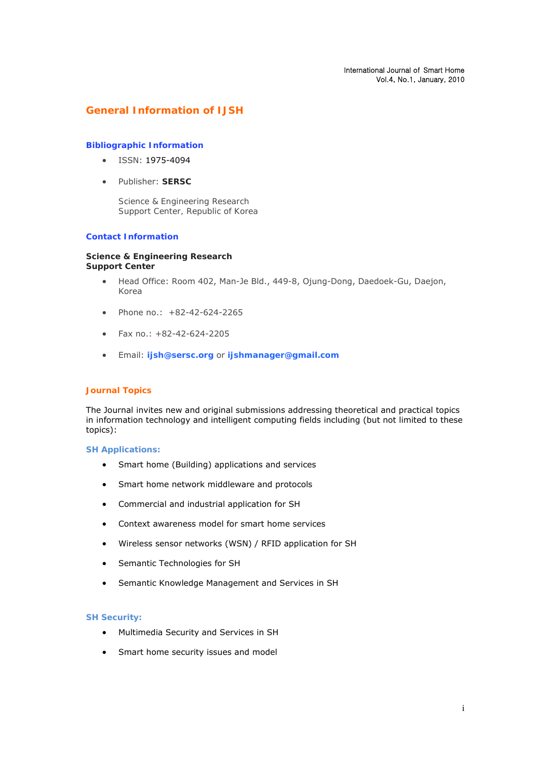# **General Information of IJSH**

## **Bibliographic Information**

- $\bullet$  ISSN: 1975-4094
- Publisher: **SERSC**

*Science & Engineering Research Support Center, Republic of Korea*

## **Contact Information**

#### **Science & Engineering Research Support Center**

- Head Office: Room 402, Man-Je Bld., 449-8, Ojung-Dong, Daedoek-Gu, Daejon, Korea
- $\bullet$  Phone no.:  $+82-42-624-2265$
- $\bullet$  Fax no.:  $\pm$ 82-42-624-2205
- Email: **ijsh@sersc.org** or **ijshmanager@gmail.com**

### **Journal Topics**

The Journal invites new and original submissions addressing theoretical and practical topics in information technology and intelligent computing fields including (but not limited to these topics):

### **SH Applications:**

- Smart home (Building) applications and services
- Smart home network middleware and protocols
- Commercial and industrial application for SH
- Context awareness model for smart home services
- Wireless sensor networks (WSN) / RFID application for SH
- Semantic Technologies for SH
- Semantic Knowledge Management and Services in SH

### **SH Security:**

- Multimedia Security and Services in SH
- Smart home security issues and model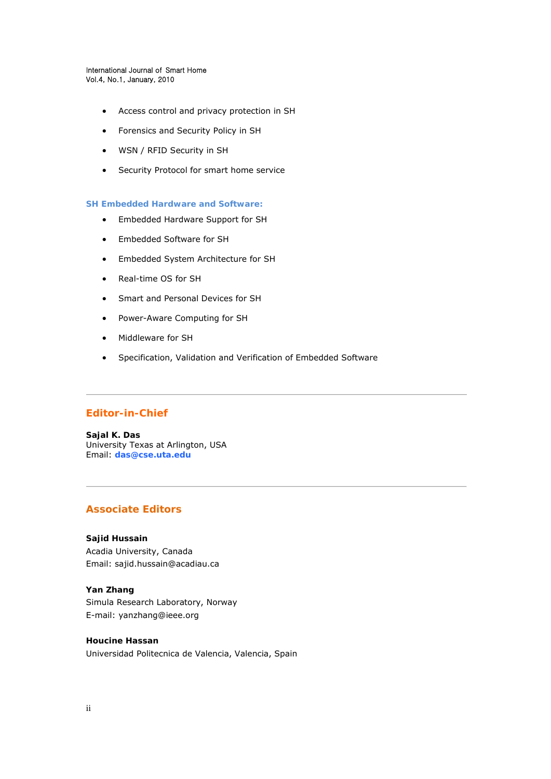#### International Journal of Smart Home Vol.4, No.1, January, 2010

- Access control and privacy protection in SH
- Forensics and Security Policy in SH
- WSN / RFID Security in SH
- Security Protocol for smart home service

### **SH Embedded Hardware and Software:**

- Embedded Hardware Support for SH
- Embedded Software for SH
- Embedded System Architecture for SH
- Real-time OS for SH
- Smart and Personal Devices for SH
- Power-Aware Computing for SH
- Middleware for SH
- Specification, Validation and Verification of Embedded Software

# **Editor-in-Chief**

**Sajal K. Das** University Texas at Arlington, USA Email: **das@cse.uta.edu**

# **Associate Editors**

# **Sajid Hussain**

Acadia University, Canada Email: sajid.hussain@acadiau.ca

### **Yan Zhang**

Simula Research Laboratory, Norway E-mail: yanzhang@ieee.org

### **Houcine Hassan**

Universidad Politecnica de Valencia, Valencia, Spain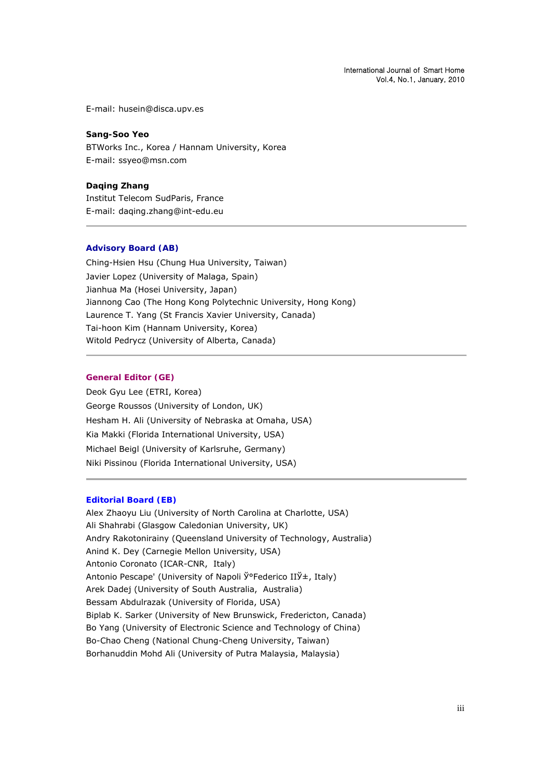E-mail: husein@disca.upv.es

**Sang-Soo Yeo**  BTWorks Inc., Korea / Hannam University, Korea E-mail: ssyeo@msn.com

**Daqing Zhang** Institut Telecom SudParis, France E-mail: daqing.zhang@int-edu.eu

# **Advisory Board (AB)**

Ching-Hsien Hsu (Chung Hua University, Taiwan) Javier Lopez (University of Malaga, Spain) Jianhua Ma (Hosei University, Japan) Jiannong Cao (The Hong Kong Polytechnic University, Hong Kong) Laurence T. Yang (St Francis Xavier University, Canada) Tai-hoon Kim (Hannam University, Korea) Witold Pedrycz (University of Alberta, Canada)

### **General Editor (GE)**

Deok Gyu Lee (ETRI, Korea) George Roussos (University of London, UK) Hesham H. Ali (University of Nebraska at Omaha, USA) Kia Makki (Florida International University, USA) Michael Beigl (University of Karlsruhe, Germany) Niki Pissinou (Florida International University, USA)

## **Editorial Board (EB)**

Alex Zhaoyu Liu (University of North Carolina at Charlotte, USA) Ali Shahrabi (Glasgow Caledonian University, UK) Andry Rakotonirainy (Queensland University of Technology, Australia) Anind K. Dey (Carnegie Mellon University, USA) Antonio Coronato (ICAR-CNR, Italy) Antonio Pescape' (University of Napoli Ў°Federico IIЎ±, Italy) Arek Dadej (University of South Australia, Australia) Bessam Abdulrazak (University of Florida, USA) Biplab K. Sarker (University of New Brunswick, Fredericton, Canada) Bo Yang (University of Electronic Science and Technology of China) Bo-Chao Cheng (National Chung-Cheng University, Taiwan) Borhanuddin Mohd Ali (University of Putra Malaysia, Malaysia)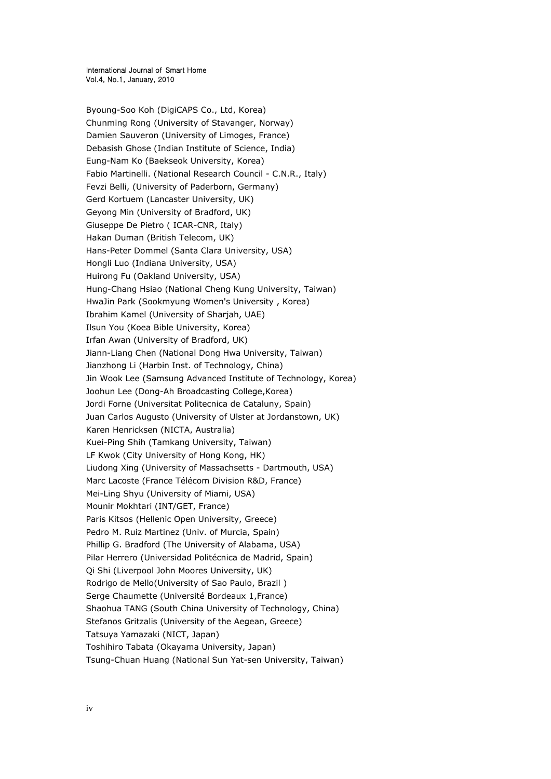Byoung-Soo Koh (DigiCAPS Co., Ltd, Korea) Chunming Rong (University of Stavanger, Norway) Damien Sauveron (University of Limoges, France) Debasish Ghose (Indian Institute of Science, India) Eung-Nam Ko (Baekseok University, Korea) Fabio Martinelli. (National Research Council - C.N.R., Italy) Fevzi Belli, (University of Paderborn, Germany) Gerd Kortuem (Lancaster University, UK) Geyong Min (University of Bradford, UK) Giuseppe De Pietro ( ICAR-CNR, Italy) Hakan Duman (British Telecom, UK) Hans-Peter Dommel (Santa Clara University, USA) Hongli Luo (Indiana University, USA) Huirong Fu (Oakland University, USA) Hung-Chang Hsiao (National Cheng Kung University, Taiwan) HwaJin Park (Sookmyung Women's University , Korea) Ibrahim Kamel (University of Sharjah, UAE) Ilsun You (Koea Bible University, Korea) Irfan Awan (University of Bradford, UK) Jiann-Liang Chen (National Dong Hwa University, Taiwan) Jianzhong Li (Harbin Inst. of Technology, China) Jin Wook Lee (Samsung Advanced Institute of Technology, Korea) Joohun Lee (Dong-Ah Broadcasting College,Korea) Jordi Forne (Universitat Politecnica de Cataluny, Spain) Juan Carlos Augusto (University of Ulster at Jordanstown, UK) Karen Henricksen (NICTA, Australia) Kuei-Ping Shih (Tamkang University, Taiwan) LF Kwok (City University of Hong Kong, HK) Liudong Xing (University of Massachsetts - Dartmouth, USA) Marc Lacoste (France Télécom Division R&D, France) Mei-Ling Shyu (University of Miami, USA) Mounir Mokhtari (INT/GET, France) Paris Kitsos (Hellenic Open University, Greece) Pedro M. Ruiz Martinez (Univ. of Murcia, Spain) Phillip G. Bradford (The University of Alabama, USA) Pilar Herrero (Universidad Politécnica de Madrid, Spain) Qi Shi (Liverpool John Moores University, UK) Rodrigo de Mello(University of Sao Paulo, Brazil ) Serge Chaumette (Université Bordeaux 1,France) Shaohua TANG (South China University of Technology, China) Stefanos Gritzalis (University of the Aegean, Greece) Tatsuya Yamazaki (NICT, Japan) Toshihiro Tabata (Okayama University, Japan) Tsung-Chuan Huang (National Sun Yat-sen University, Taiwan)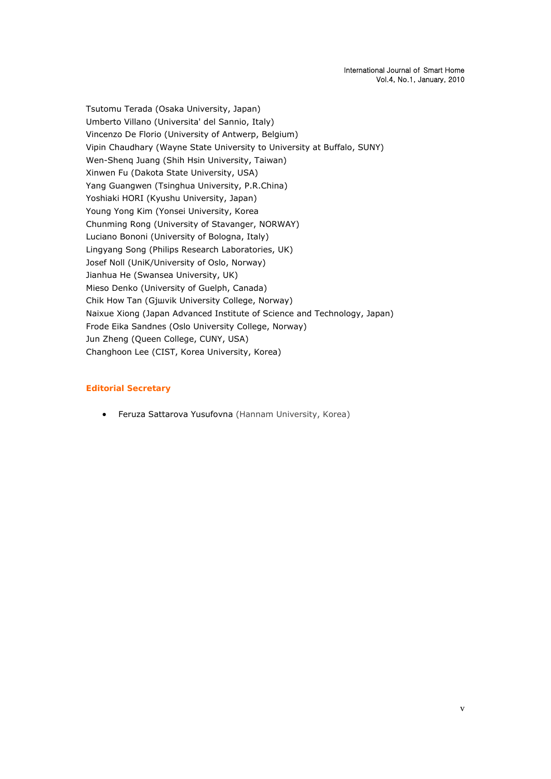Tsutomu Terada (Osaka University, Japan) Umberto Villano (Universita' del Sannio, Italy) Vincenzo De Florio (University of Antwerp, Belgium) Vipin Chaudhary (Wayne State University to University at Buffalo, SUNY) Wen-Shenq Juang (Shih Hsin University, Taiwan) Xinwen Fu (Dakota State University, USA) Yang Guangwen (Tsinghua University, P.R.China) Yoshiaki HORI (Kyushu University, Japan) Young Yong Kim (Yonsei University, Korea Chunming Rong (University of Stavanger, NORWAY) Luciano Bononi (University of Bologna, Italy) Lingyang Song (Philips Research Laboratories, UK) Josef Noll (UniK/University of Oslo, Norway) Jianhua He (Swansea University, UK) Mieso Denko (University of Guelph, Canada) Chik How Tan (Gjшvik University College, Norway) Naixue Xiong (Japan Advanced Institute of Science and Technology, Japan) Frode Eika Sandnes (Oslo University College, Norway) Jun Zheng (Queen College, CUNY, USA) Changhoon Lee (CIST, Korea University, Korea)

# **Editorial Secretary**

Feruza Sattarova Yusufovna (Hannam University, Korea)